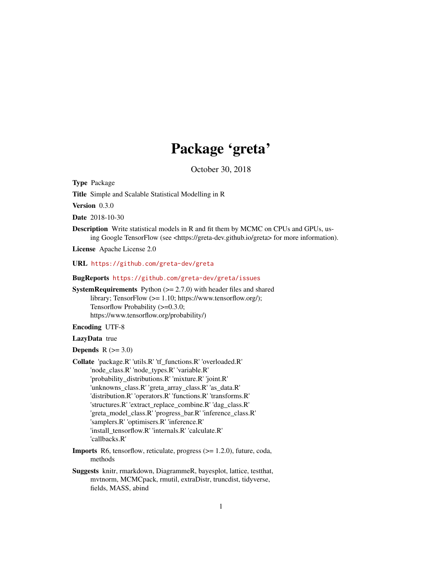## Package 'greta'

October 30, 2018

<span id="page-0-0"></span>Type Package

Title Simple and Scalable Statistical Modelling in R

Version 0.3.0

Date 2018-10-30

Description Write statistical models in R and fit them by MCMC on CPUs and GPUs, using Google TensorFlow (see <https://greta-dev.github.io/greta> for more information).

License Apache License 2.0

URL <https://github.com/greta-dev/greta>

BugReports <https://github.com/greta-dev/greta/issues>

**SystemRequirements** Python  $(>= 2.7.0)$  with header files and shared library; TensorFlow (>= 1.10; https://www.tensorflow.org/); Tensorflow Probability ( $>= 0.3.0$ ; https://www.tensorflow.org/probability/)

Encoding UTF-8

#### LazyData true

**Depends**  $R$  ( $>= 3.0$ )

Collate 'package.R' 'utils.R' 'tf\_functions.R' 'overloaded.R' 'node\_class.R' 'node\_types.R' 'variable.R' 'probability\_distributions.R' 'mixture.R' 'joint.R' 'unknowns\_class.R' 'greta\_array\_class.R' 'as\_data.R' 'distribution.R' 'operators.R' 'functions.R' 'transforms.R' 'structures.R' 'extract\_replace\_combine.R' 'dag\_class.R' 'greta\_model\_class.R' 'progress\_bar.R' 'inference\_class.R' 'samplers.R' 'optimisers.R' 'inference.R' 'install\_tensorflow.R' 'internals.R' 'calculate.R' 'callbacks.R'

- Imports R6, tensorflow, reticulate, progress (>= 1.2.0), future, coda, methods
- Suggests knitr, rmarkdown, DiagrammeR, bayesplot, lattice, testthat, mvtnorm, MCMCpack, rmutil, extraDistr, truncdist, tidyverse, fields, MASS, abind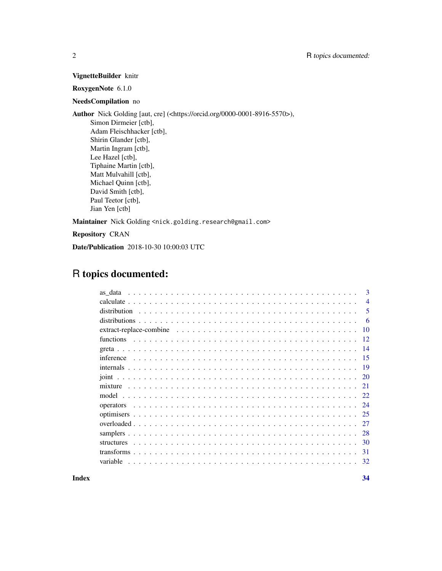#### VignetteBuilder knitr

#### RoxygenNote 6.1.0

#### NeedsCompilation no

Author Nick Golding [aut, cre] (<https://orcid.org/0000-0001-8916-5570>), Simon Dirmeier [ctb], Adam Fleischhacker [ctb], Shirin Glander [ctb], Martin Ingram [ctb], Lee Hazel [ctb], Tiphaine Martin [ctb], Matt Mulvahill [ctb], Michael Quinn [ctb], David Smith [ctb], Paul Teetor [ctb], Jian Yen [ctb]

Maintainer Nick Golding <nick.golding.research@gmail.com>

Repository CRAN

Date/Publication 2018-10-30 10:00:03 UTC

### R topics documented:

| as data      | $\mathbf{3}$   |
|--------------|----------------|
|              | $\overline{4}$ |
| distribution | 5              |
|              | -6             |
|              | 10             |
| functions    | -12            |
|              | -14            |
| inference    | 15             |
|              | 19             |
|              | 20             |
|              | 21             |
|              | 22.            |
| operators    | 24             |
|              | 25             |
|              | 27             |
|              | 28             |
|              | 30             |
|              | 31             |
| variable     | 32             |
|              |                |

**Index** [34](#page-33-0)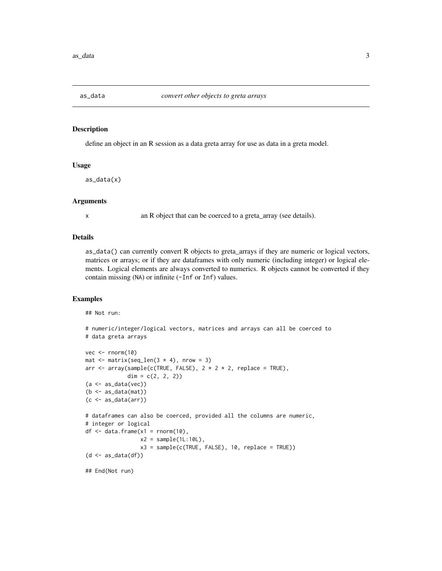<span id="page-2-0"></span>

#### Description

define an object in an R session as a data greta array for use as data in a greta model.

#### Usage

as\_data(x)

#### Arguments

x an R object that can be coerced to a greta\_array (see details).

#### Details

as\_data() can currently convert R objects to greta\_arrays if they are numeric or logical vectors, matrices or arrays; or if they are dataframes with only numeric (including integer) or logical elements. Logical elements are always converted to numerics. R objects cannot be converted if they contain missing (NA) or infinite (-Inf or Inf) values.

#### Examples

## Not run:

```
# numeric/integer/logical vectors, matrices and arrays can all be coerced to
# data greta arrays
vec <- rnorm(10)
mat \leq matrix(seq_len(3 \neq 4), nrow = 3)
arr <- array(sample(c(TRUE, FALSE), 2 * 2 * 2, replace = TRUE),
             dim = c(2, 2, 2)(a <- as_data(vec))
(b \leftarrow as\_data(max))(c \leftarrow as_data(arr))# dataframes can also be coerced, provided all the columns are numeric,
# integer or logical
df \leq data.frame(x1 = rnorm(10),
                  x2 = sample(1L:10L),
                  x3 = sample(c(TRUE, FALSE), 10, replace = TRUE))(d \leftarrow as\_data(df))## End(Not run)
```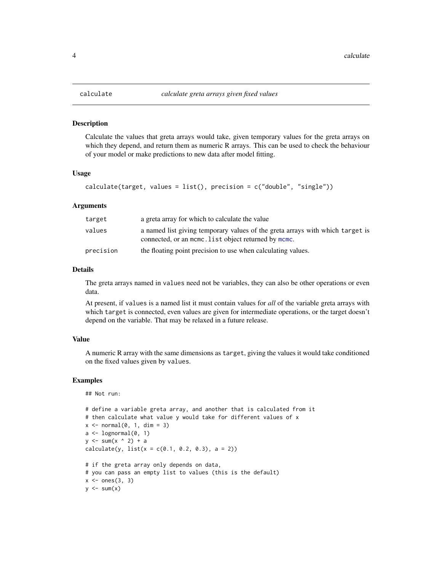#### Description

Calculate the values that greta arrays would take, given temporary values for the greta arrays on which they depend, and return them as numeric R arrays. This can be used to check the behaviour of your model or make predictions to new data after model fitting.

#### Usage

```
calculate(target, values = list(), precision = c("double", "single"))
```
#### Arguments

| target    | a greta array for which to calculate the value                                                                                        |
|-----------|---------------------------------------------------------------------------------------------------------------------------------------|
| values    | a named list giving temporary values of the greta arrays with which target is<br>connected, or an mome. List object returned by mome. |
| precision | the floating point precision to use when calculating values.                                                                          |

#### Details

The greta arrays named in values need not be variables, they can also be other operations or even data.

At present, if values is a named list it must contain values for *all* of the variable greta arrays with which target is connected, even values are given for intermediate operations, or the target doesn't depend on the variable. That may be relaxed in a future release.

#### Value

A numeric R array with the same dimensions as target, giving the values it would take conditioned on the fixed values given by values.

#### Examples

```
## Not run:
```

```
# define a variable greta array, and another that is calculated from it
# then calculate what value y would take for different values of x
x \le normal(0, 1, dim = 3)
a \leftarrow \text{lognormal}(0, 1)y \leftarrow \text{sum}(x \land 2) + acalculated(y, list(x = c(0.1, 0.2, 0.3), a = 2))# if the greta array only depends on data,
# you can pass an empty list to values (this is the default)
x \leftarrow ones(3, 3)y \le -\text{sum}(x)
```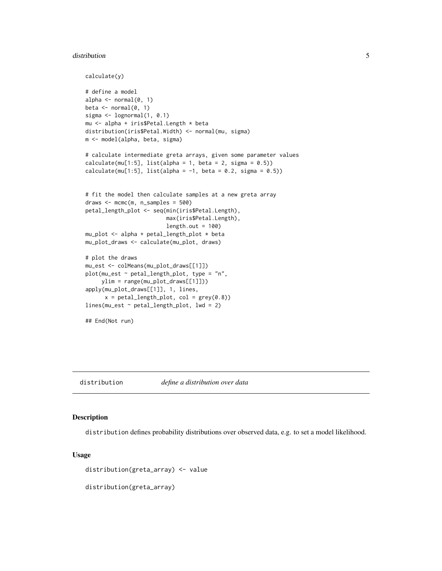#### <span id="page-4-0"></span>distribution **5**

```
calculate(y)
# define a model
alpha \leq normal(0, 1)beta \leq normal(0, 1)
sigma <- lognormal(1, 0.1)
mu <- alpha + iris$Petal.Length * beta
distribution(iris$Petal.Width) <- normal(mu, sigma)
m <- model(alpha, beta, sigma)
# calculate intermediate greta arrays, given some parameter values
calcutate(mu[1:5], list(alpha = 1, beta = 2, sigma = 0.5))calculate(mu[1:5], list(alpha = -1, beta = 0.2, sigma = 0.5))
# fit the model then calculate samples at a new greta array
draws <- mcmc(m, n_samples = 500)
petal_length_plot <- seq(min(iris$Petal.Length),
                         max(iris$Petal.Length),
                         length.out = 100mu_plot <- alpha + petal_length_plot * beta
mu_plot_draws <- calculate(mu_plot, draws)
# plot the draws
mu_est <- colMeans(mu_plot_draws[[1]])
plot(mu_est ~ ~ petal_length\_plot, ~ type = "n",ylim = range(mu_plot_draws[[1]]))
apply(mu_plot_draws[[1]], 1, lines,
      x = petal_length\_plot, col = grey(0.8))lines(mu_est ~ petal_length_plot, lwd = 2)
## End(Not run)
```
<span id="page-4-1"></span>

#### distribution *define a distribution over data*

#### Description

distribution defines probability distributions over observed data, e.g. to set a model likelihood.

#### Usage

distribution(greta\_array) <- value

distribution(greta\_array)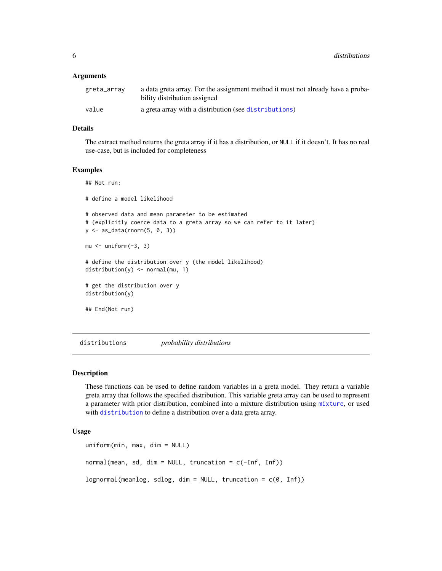<span id="page-5-0"></span>6 distributions

#### **Arguments**

| greta_array | a data greta array. For the assignment method it must not already have a proba-<br>bility distribution assigned |
|-------------|-----------------------------------------------------------------------------------------------------------------|
| value       | a greta array with a distribution (see distributions)                                                           |

#### Details

The extract method returns the greta array if it has a distribution, or NULL if it doesn't. It has no real use-case, but is included for completeness

#### Examples

## Not run:

# define a model likelihood # observed data and mean parameter to be estimated # (explicitly coerce data to a greta array so we can refer to it later) y <- as\_data(rnorm(5, 0, 3))  $mu < -$  uniform $(-3, 3)$ # define the distribution over y (the model likelihood) distribution(y) <- normal(mu, 1) # get the distribution over y distribution(y) ## End(Not run)

<span id="page-5-1"></span>distributions *probability distributions*

#### **Description**

These functions can be used to define random variables in a greta model. They return a variable greta array that follows the specified distribution. This variable greta array can be used to represent a parameter with prior distribution, combined into a mixture distribution using [mixture](#page-20-1), or used with [distribution](#page-4-1) to define a distribution over a data greta array.

#### Usage

```
uniform(min, max, dim = NULL)
normal(mean, sd, dim = NULL, truncation = c(-Inf, Inf))lognormal(meanlog, sdlog, dim = NULL, truncation = c(0, Inf))
```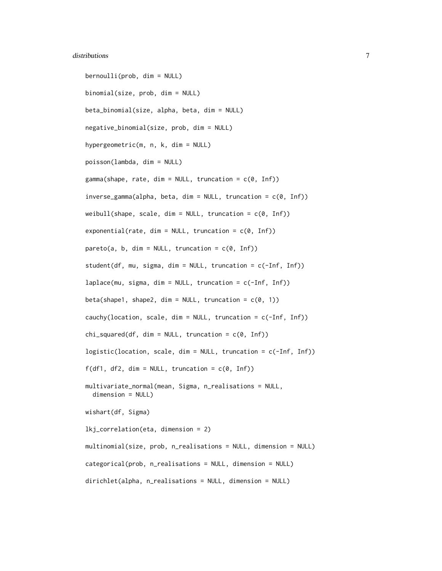#### distributions **7** and 2000 *n* and 2000 *n* and 2000 *n* and 2000 *n* and 2000 *n* and 2000 *n* and 2000 *n* and 2000 *n* and 2000 *n* and 2000 *n* and 2000 *n* and 2000 *n* and 2000 *n* and 2000 *n* and 2000 *n* a

```
bernoulli(prob, dim = NULL)
binomial(size, prob, dim = NULL)
beta_binomial(size, alpha, beta, dim = NULL)
negative_binomial(size, prob, dim = NULL)
hypergeometric(m, n, k, dim = NULL)
poisson(lambda, dim = NULL)
gamma(shape, rate, dim = NULL, truncation = c(\emptyset, Inf))
inverse_gamma(alpha, beta, dim = NULL, truncation = c(0, Inf))
weibull(shape, scale, dim = NULL, truncation = c(0, Inf))
exponential(rate, dim = NULL, truncation = c(\theta, \text{Inf}))
pareto(a, b, dim = NULL, truncation = c(0, Inf))
student(df, mu, sigma, dim = NULL, truncation = c(-Inf, Inf))
laplace(mu, sigma, dim = NULL, truncation = c(-Inf, Inf))beta(shape1, shape2, dim = NULL, truncation = c(0, 1))
cauchy(location, scale, dim = NULL, truncation = c(-Inf, Inf))
chi_ssquared(df, dim = NULL, truncation = c(\emptyset, Inf))
logistic(location, scale, dim = NULL, truncation = c(-Inf, Inf))
f(df1, df2, dim = NULL, truncation = c(0, Inf))
multivariate_normal(mean, Sigma, n_realisations = NULL,
  dimension = NULL)
wishart(df, Sigma)
lkj_correlation(eta, dimension = 2)
multinomial(size, prob, n_realisations = NULL, dimension = NULL)
categorical(prob, n_realisations = NULL, dimension = NULL)
dirichlet(alpha, n_realisations = NULL, dimension = NULL)
```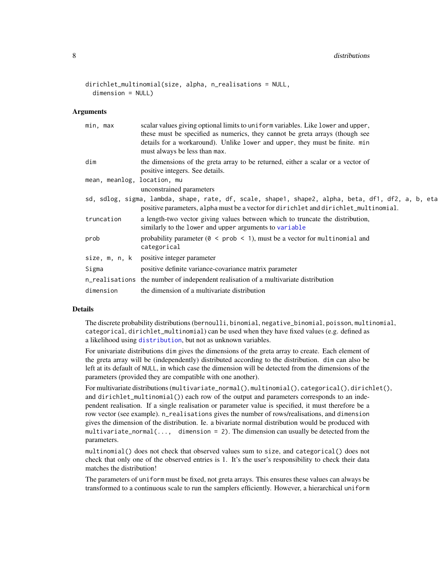#### <span id="page-7-0"></span>8 distributions and the contract of the contract of the contract of the contract of the contract of the contract of the contract of the contract of the contract of the contract of the contract of the contract of the contra

```
dirichlet_multinomial(size, alpha, n_realisations = NULL,
  dimension = NULL)
```
#### Arguments

| min, max                    | scalar values giving optional limits to uniform variables. Like lower and upper,<br>these must be specified as numerics, they cannot be greta arrays (though see<br>details for a workaround). Unlike lower and upper, they must be finite. min<br>must always be less than max. |
|-----------------------------|----------------------------------------------------------------------------------------------------------------------------------------------------------------------------------------------------------------------------------------------------------------------------------|
| dim                         | the dimensions of the greta array to be returned, either a scalar or a vector of<br>positive integers. See details.                                                                                                                                                              |
| mean, meanlog, location, mu | unconstrained parameters                                                                                                                                                                                                                                                         |
|                             | sd, sdlog, sigma, lambda, shape, rate, df, scale, shape1, shape2, alpha, beta, df1, df2, a, b, eta<br>positive parameters, alpha must be a vector for dirichlet and dirichlet_multinomial.                                                                                       |
| truncation                  | a length-two vector giving values between which to truncate the distribution,<br>similarly to the lower and upper arguments to variable                                                                                                                                          |
| prob                        | probability parameter ( $\theta$ < prob < 1), must be a vector for multinomial and<br>categorical                                                                                                                                                                                |
|                             | size, m, n, k positive integer parameter                                                                                                                                                                                                                                         |
| Sigma                       | positive definite variance-covariance matrix parameter                                                                                                                                                                                                                           |
|                             | n_realisations the number of independent realisation of a multivariate distribution                                                                                                                                                                                              |
| dimension                   | the dimension of a multivariate distribution                                                                                                                                                                                                                                     |

#### Details

The discrete probability distributions (bernoulli, binomial, negative\_binomial, poisson, multinomial, categorical, dirichlet\_multinomial) can be used when they have fixed values (e.g. defined as a likelihood using [distribution](#page-4-1), but not as unknown variables.

For univariate distributions dim gives the dimensions of the greta array to create. Each element of the greta array will be (independently) distributed according to the distribution. dim can also be left at its default of NULL, in which case the dimension will be detected from the dimensions of the parameters (provided they are compatible with one another).

For multivariate distributions (multivariate\_normal(), multinomial(), categorical(), dirichlet(), and dirichlet\_multinomial()) each row of the output and parameters corresponds to an independent realisation. If a single realisation or parameter value is specified, it must therefore be a row vector (see example). n\_realisations gives the number of rows/realisations, and dimension gives the dimension of the distribution. Ie. a bivariate normal distribution would be produced with multivariate\_normal(..., dimension = 2). The dimension can usually be detected from the parameters.

multinomial() does not check that observed values sum to size, and categorical() does not check that only one of the observed entries is 1. It's the user's responsibility to check their data matches the distribution!

The parameters of uniform must be fixed, not greta arrays. This ensures these values can always be transformed to a continuous scale to run the samplers efficiently. However, a hierarchical uniform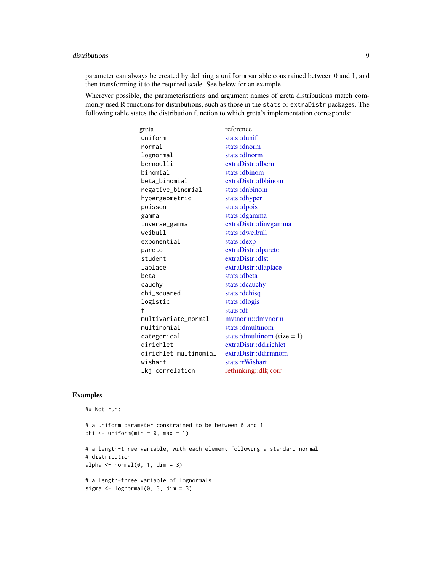#### <span id="page-8-0"></span>distributions 9

parameter can always be created by defining a uniform variable constrained between 0 and 1, and then transforming it to the required scale. See below for an example.

Wherever possible, the parameterisations and argument names of greta distributions match commonly used R functions for distributions, such as those in the stats or extraDistr packages. The following table states the distribution function to which greta's implementation corresponds:

| greta                 | reference                      |
|-----------------------|--------------------------------|
| uniform               | stats::dunif                   |
| normal                | stats::dnorm                   |
| lognormal             | stats::dlnorm                  |
| bernoulli             | extraDist::dbern               |
| binomial              | stats::dbinom                  |
| beta_binomial         | extraDistr::dbbinom            |
| negative_binomial     | stats::dnbinom                 |
| hypergeometric        | stats::dhyper                  |
| poisson               | stats::dpois                   |
| gamma                 | stats::dgamma                  |
| inverse_gamma         | extraDistr::dinvgamma          |
| weibull               | stats::dweibull                |
| exponential           | stats::dexp                    |
| pareto                | extraDistr::dpareto            |
| student               | extraDistr::dlst               |
| laplace               | extraDistr::dlaplace           |
| beta                  | stats::dbeta                   |
| cauchy                | stats::dcauchy                 |
| chi_squared           | stats::dchisq                  |
| logistic              | stats::dlogis                  |
| f                     | stats:df                       |
| multivariate_normal   | mytnorm::dmynorm               |
| multinomial           | stats::dmultinom               |
| categorical           | stats::dmultinom (size = $1$ ) |
| dirichlet             | extraDistr::ddirichlet         |
| dirichlet_multinomial | extraDistr::ddirmnom           |
| wishart               | stats::rWishart                |
| lkj_correlation       | rethinking::dlkjcorr           |

#### Examples

```
## Not run:
```

```
# a uniform parameter constrained to be between 0 and 1
phi \le uniform(min = 0, max = 1)
# a length-three variable, with each element following a standard normal
# distribution
alpha \leq normal(0, 1, dim = 3)
# a length-three variable of lognormals
sigma \leq lognormal(0, 3, dim = 3)
```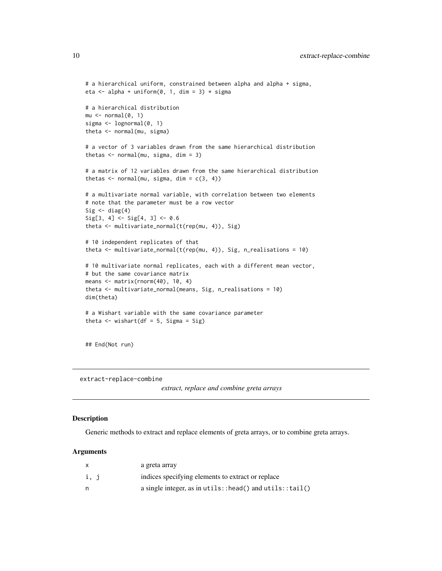```
# a hierarchical uniform, constrained between alpha and alpha + sigma,
eta <- alpha + uniform(0, 1, \text{dim} = 3) * sigma
# a hierarchical distribution
mu \leftarrow normal(0, 1)sigma <- lognormal(0, 1)
theta <- normal(mu, sigma)
# a vector of 3 variables drawn from the same hierarchical distribution
thetas <- normal(mu, sigma, dim = 3)
# a matrix of 12 variables drawn from the same hierarchical distribution
thetas \leq normal(mu, sigma, dim = c(3, 4))
# a multivariate normal variable, with correlation between two elements
# note that the parameter must be a row vector
Sig \leftarrow diag(4)
Sig[3, 4] \leftarrow Sig[4, 3] \leftarrow 0.6theta <- multivariate_normal(t(rep(mu, 4)), Sig)
# 10 independent replicates of that
theta <- multivariate_normal(t(rep(mu, 4)), Sig, n_realisations = 10)
# 10 multivariate normal replicates, each with a different mean vector,
# but the same covariance matrix
means <- matrix(rnorm(40), 10, 4)
theta <- multivariate_normal(means, Sig, n_realisations = 10)
dim(theta)
# a Wishart variable with the same covariance parameter
theta \leq wishart(df = 5, Sigma = Sig)
```
## End(Not run)

extract-replace-combine

```
extract, replace and combine greta arrays
```
#### **Description**

Generic methods to extract and replace elements of greta arrays, or to combine greta arrays.

#### Arguments

|      | a greta array                                               |
|------|-------------------------------------------------------------|
| i, j | indices specifying elements to extract or replace           |
| n    | a single integer, as in $utils::head()$ and $utils::tail()$ |

<span id="page-9-0"></span>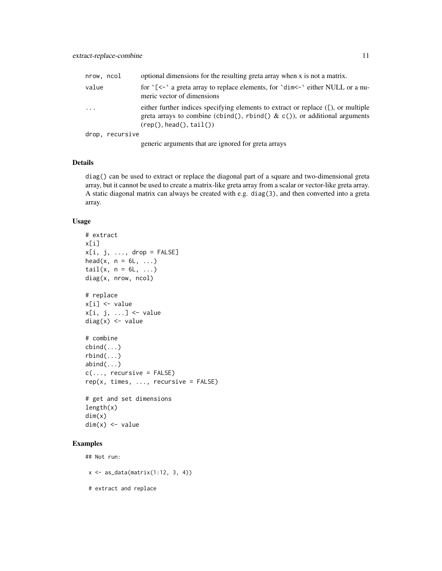| nrow, ncol          |                 | optional dimensions for the resulting greta array when x is not a matrix.                                                                                                                          |
|---------------------|-----------------|----------------------------------------------------------------------------------------------------------------------------------------------------------------------------------------------------|
| value               |                 | for $\zeta$ < $\zeta$ a greta array to replace elements, for $\dim \zeta$ either NULL or a nu-<br>meric vector of dimensions                                                                       |
| $\cdot \cdot \cdot$ |                 | either further indices specifying elements to extract or replace $( \Gamma)$ , or multiple<br>greta arrays to combine (cbind(), rbind() & c()), or additional arguments<br>(rep(), head(), tail()) |
|                     | drop, recursive |                                                                                                                                                                                                    |

generic arguments that are ignored for greta arrays

#### Details

diag() can be used to extract or replace the diagonal part of a square and two-dimensional greta array, but it cannot be used to create a matrix-like greta array from a scalar or vector-like greta array. A static diagonal matrix can always be created with e.g. diag(3), and then converted into a greta array.

#### Usage

```
# extract
x[i]
x[i, j, ..., drop = FALSE]head(x, n = 6L, ...)
tail(x, n = 6L, ...)diag(x, nrow, ncol)
# replace
x[i] <- value
x[i, j, ...] <- value
diag(x) <- value
# combine
cbind(...)
rbind(...)
abind(...)c(\ldots, recursive = FALSE)
rep(x, times, ..., recursive = FALSE)# get and set dimensions
length(x)
dim(x)
dim(x) <- value
```
### Examples

## Not run:

 $x \leftarrow as_data(matrix(1:12, 3, 4))$ 

# extract and replace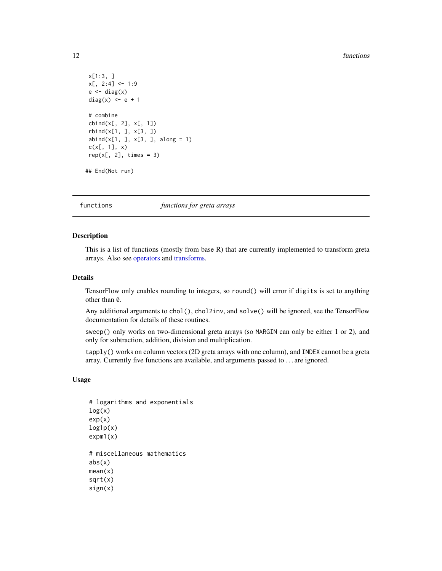#### <span id="page-11-0"></span>12 functions and the contract of the contract of the contract of the contract of the contract of the contract of the contract of the contract of the contract of the contract of the contract of the contract of the contract

```
x[1:3, ]
x[, 2:4] < -1:9e \leftarrow diag(x)diag(x) <- e + 1
# combine
cbind(x[, 2], x[, 1])rbind(x[1, ], x[3, ])
abind(x[1, 1, x[3, 1, along = 1)]c(x[, 1], x)rep(x[, 2], times = 3)## End(Not run)
```
<span id="page-11-1"></span>

functions *functions for greta arrays*

#### Description

This is a list of functions (mostly from base R) that are currently implemented to transform greta arrays. Also see [operators](#page-23-1) and [transforms.](#page-30-1)

#### Details

TensorFlow only enables rounding to integers, so round() will error if digits is set to anything other than 0.

Any additional arguments to chol(), chol2inv, and solve() will be ignored, see the TensorFlow documentation for details of these routines.

sweep() only works on two-dimensional greta arrays (so MARGIN can only be either 1 or 2), and only for subtraction, addition, division and multiplication.

tapply() works on column vectors (2D greta arrays with one column), and INDEX cannot be a greta array. Currently five functions are available, and arguments passed to . . . are ignored.

#### Usage

```
# logarithms and exponentials
log(x)exp(x)
log1p(x)expm1(x)# miscellaneous mathematics
abs(x)mean(x)
sqrt(x)
sign(x)
```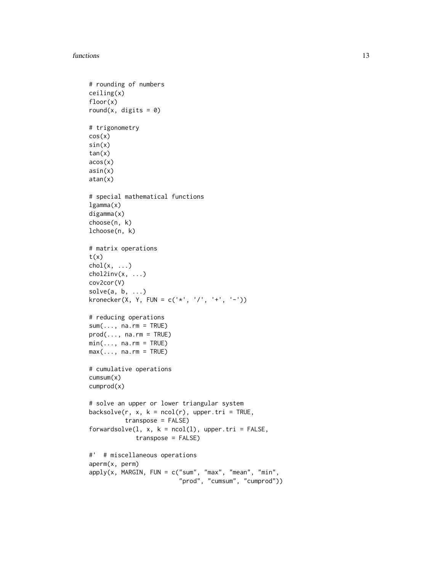#### functions and the contract of the contract of the contract of the contract of the contract of the contract of the contract of the contract of the contract of the contract of the contract of the contract of the contract of

```
# rounding of numbers
ceiling(x)
floor(x)
round(x, digits = 0)
# trigonometry
cos(x)
sin(x)tan(x)
acos(x)
asin(x)
atan(x)
# special mathematical functions
lgamma(x)
digamma(x)
choose(n, k)
lchoose(n, k)
# matrix operations
t(x)chol(x, \ldots)chol2inv(x, \ldots)cov2cor(V)
solve(a, b, \ldots)kronecker(X, Y, FUN = c('*', '/', '+', '-''))# reducing operations
sum(..., na.rm = TRUE)prod(..., na.rm = TRUE)min(..., na.rm = TRUE)max(..., na.rm = TRUE)# cumulative operations
cumsum(x)
cumprod(x)
# solve an upper or lower triangular system
backsolve(r, x, k = ncol(r), upper.tri = TRUE,
          transpose = FALSE)
forwardsolve(1, x, k = \text{ncol}(1), upper.tri = FALSE,
             transpose = FALSE)
#' # miscellaneous operations
aperm(x, perm)
apply(x, MARGIN, FUN = c("sum", "max", "mean", "min",
                         "prod", "cumsum", "cumprod"))
```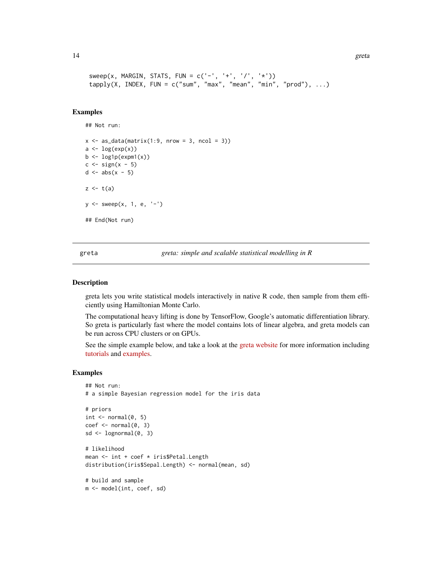```
14 greta
```

```
sweep(x, MARGIN, STATS, FUN = c('-', '+'', '/', '*)')tapply(X, INDEX, FUN = c("sum", "max", "mean", "min", "prod"), ...)
```
#### Examples

## Not run:

```
x \le - as_data(matrix(1:9, nrow = 3, ncol = 3))
a \leftarrow \log(exp(x))b \leftarrow \text{log1p}(\text{expm1}(x))c \leftarrow sign(x - 5)d \leftarrow abs(x - 5)z \leftarrow t(a)y \le - sweep(x, 1, e, '-')
## End(Not run)
```
greta *greta: simple and scalable statistical modelling in R*

#### Description

greta lets you write statistical models interactively in native R code, then sample from them efficiently using Hamiltonian Monte Carlo.

The computational heavy lifting is done by TensorFlow, Google's automatic differentiation library. So greta is particularly fast where the model contains lots of linear algebra, and greta models can be run across CPU clusters or on GPUs.

See the simple example below, and take a look at the [greta website](https://greta-dev.github.io/greta) for more information including [tutorials](https://greta-dev.github.io/greta/get_started.html) and [examples.](https://greta-dev.github.io/greta/example_models.html)

#### Examples

```
## Not run:
# a simple Bayesian regression model for the iris data
# priors
int < - normal(0, 5)coef \leftarrow normal(0, 3)sd \leq lognormal(0, 3)
# likelihood
mean <- int + coef * iris$Petal.Length
distribution(iris$Sepal.Length) <- normal(mean, sd)
# build and sample
m <- model(int, coef, sd)
```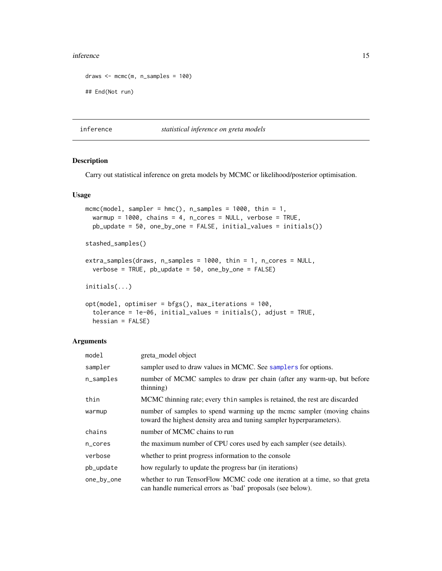#### <span id="page-14-0"></span>inference 15

```
draws \leq mcmc(m, n_samples = 100)
## End(Not run)
```
inference *statistical inference on greta models*

#### <span id="page-14-1"></span>Description

Carry out statistical inference on greta models by MCMC or likelihood/posterior optimisation.

#### Usage

```
mcmc(model, sampler = hmc(), n_samples = 1000, thin = 1,
 warmup = 1000, chains = 4, n_cores = NULL, verbose = TRUE,
 pb_update = 50, one_by_one = FALSE, initial_values = initials())
stashed_samples()
extra_samples(draws, n_samples = 1000, thin = 1, n_cores = NULL,
 verbose = TRUE, pb_update = 50, one_by_one = FALSE)
initials(...)
```

```
opt(model, optimiser = bfgs(), max_iterations = 100,
  tolerance = 1e-06, initial_values = initials(), adjust = TRUE,
 hessian = FALSE)
```
#### Arguments

| model      | greta_model object                                                                                                                            |
|------------|-----------------------------------------------------------------------------------------------------------------------------------------------|
| sampler    | sampler used to draw values in MCMC. See samplers for options.                                                                                |
| n_samples  | number of MCMC samples to draw per chain (after any warm-up, but before<br>(thinning)                                                         |
| thin       | MCMC thinning rate; every thin samples is retained, the rest are discarded                                                                    |
| warmup     | number of samples to spend warming up the mcmc sampler (moving chains<br>toward the highest density area and tuning sampler hyperparameters). |
| chains     | number of MCMC chains to run                                                                                                                  |
| n_cores    | the maximum number of CPU cores used by each sampler (see details).                                                                           |
| verbose    | whether to print progress information to the console                                                                                          |
| pb_update  | how regularly to update the progress bar (in iterations)                                                                                      |
| one_by_one | whether to run TensorFlow MCMC code one iteration at a time, so that greta<br>can handle numerical errors as 'bad' proposals (see below).     |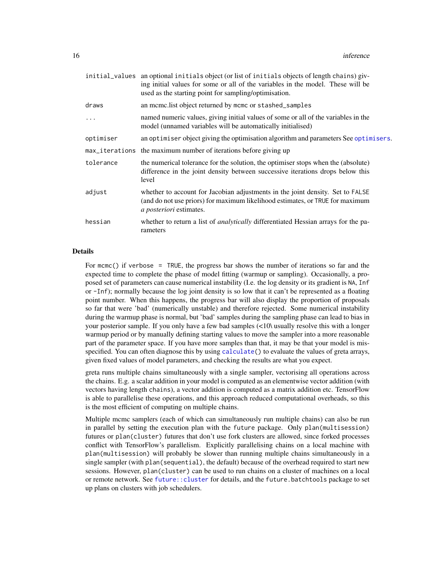<span id="page-15-0"></span>

|           | initial_values an optional initials object (or list of initials objects of length chains) giv-<br>ing initial values for some or all of the variables in the model. These will be<br>used as the starting point for sampling/optimisation. |
|-----------|--------------------------------------------------------------------------------------------------------------------------------------------------------------------------------------------------------------------------------------------|
| draws     | an mcmc. list object returned by mcmc or stashed_samples                                                                                                                                                                                   |
| $\ddots$  | named numeric values, giving initial values of some or all of the variables in the<br>model (unnamed variables will be automatically initialised)                                                                                          |
| optimiser | an optimiser object giving the optimisation algorithm and parameters See optimisers.                                                                                                                                                       |
|           | max_iterations the maximum number of iterations before giving up                                                                                                                                                                           |
| tolerance | the numerical tolerance for the solution, the optimiser stops when the (absolute)<br>difference in the joint density between successive iterations drops below this<br>level                                                               |
| adjust    | whether to account for Jacobian adjustments in the joint density. Set to FALSE<br>(and do not use priors) for maximum likelihood estimates, or TRUE for maximum<br><i>a posteriori</i> estimates.                                          |
| hessian   | whether to return a list of <i>analytically</i> differentiated Hessian arrays for the pa-<br>rameters                                                                                                                                      |

#### Details

For mcmc() if verbose = TRUE, the progress bar shows the number of iterations so far and the expected time to complete the phase of model fitting (warmup or sampling). Occasionally, a proposed set of parameters can cause numerical instability (I.e. the log density or its gradient is NA, Inf or -Inf); normally because the log joint density is so low that it can't be represented as a floating point number. When this happens, the progress bar will also display the proportion of proposals so far that were 'bad' (numerically unstable) and therefore rejected. Some numerical instability during the warmup phase is normal, but 'bad' samples during the sampling phase can lead to bias in your posterior sample. If you only have a few bad samples (<10\ usually resolve this with a longer warmup period or by manually defining starting values to move the sampler into a more reasonable part of the parameter space. If you have more samples than that, it may be that your model is misspecified. You can often diagnose this by using [calculate\(](#page-3-1)) to evaluate the values of greta arrays, given fixed values of model parameters, and checking the results are what you expect.

greta runs multiple chains simultaneously with a single sampler, vectorising all operations across the chains. E.g. a scalar addition in your model is computed as an elementwise vector addition (with vectors having length chains), a vector addition is computed as a matrix addition etc. TensorFlow is able to parallelise these operations, and this approach reduced computational overheads, so this is the most efficient of computing on multiple chains.

Multiple mcmc samplers (each of which can simultaneously run multiple chains) can also be run in parallel by setting the execution plan with the future package. Only plan(multisession) futures or plan(cluster) futures that don't use fork clusters are allowed, since forked processes conflict with TensorFlow's parallelism. Explicitly parallelising chains on a local machine with plan(multisession) will probably be slower than running multiple chains simultaneously in a single sampler (with plan(sequential), the default) because of the overhead required to start new sessions. However, plan(cluster) can be used to run chains on a cluster of machines on a local or remote network. See [future::cluster](#page-0-0) for details, and the future.batchtools package to set up plans on clusters with job schedulers.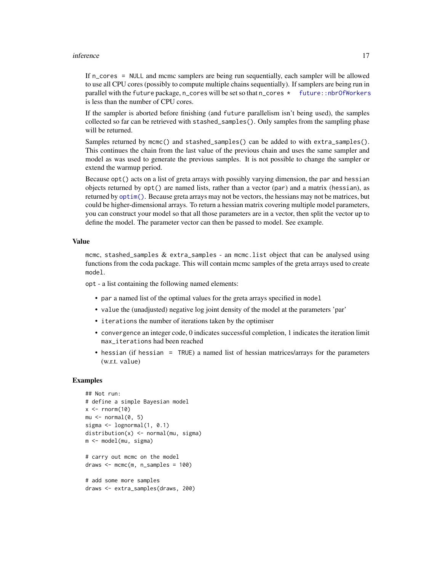#### <span id="page-16-0"></span>inference 17

If n\_cores = NULL and mcmc samplers are being run sequentially, each sampler will be allowed to use all CPU cores (possibly to compute multiple chains sequentially). If samplers are being run in parallel with the future package, n\_cores will be set so that  $n_{\text{c}$  ores  $\star$  future::nbr0fWorkers is less than the number of CPU cores.

If the sampler is aborted before finishing (and future parallelism isn't being used), the samples collected so far can be retrieved with stashed\_samples(). Only samples from the sampling phase will be returned.

Samples returned by mcmc() and stashed\_samples() can be added to with extra\_samples(). This continues the chain from the last value of the previous chain and uses the same sampler and model as was used to generate the previous samples. It is not possible to change the sampler or extend the warmup period.

Because opt() acts on a list of greta arrays with possibly varying dimension, the par and hessian objects returned by  $opt()$  are named lists, rather than a vector (par) and a matrix (hessian), as returned by [optim\(\)](#page-0-0). Because greta arrays may not be vectors, the hessians may not be matrices, but could be higher-dimensional arrays. To return a hessian matrix covering multiple model parameters, you can construct your model so that all those parameters are in a vector, then split the vector up to define the model. The parameter vector can then be passed to model. See example.

#### Value

mcmc, stashed\_samples  $\&$  extra\_samples - an mcmc.list object that can be analysed using functions from the coda package. This will contain mcmc samples of the greta arrays used to create model.

opt - a list containing the following named elements:

- par a named list of the optimal values for the greta arrays specified in model
- value the (unadjusted) negative log joint density of the model at the parameters 'par'
- iterations the number of iterations taken by the optimiser
- convergence an integer code, 0 indicates successful completion, 1 indicates the iteration limit max\_iterations had been reached
- hessian (if hessian = TRUE) a named list of hessian matrices/arrays for the parameters (w.r.t. value)

#### Examples

```
## Not run:
# define a simple Bayesian model
x < - rnorm(10)
mu \leftarrow normal(0, 5)sigma \leq lognormal(1, 0.1)
distribution(x) \leq normal(mu, sigma)
m <- model(mu, sigma)
# carry out mcmc on the model
draws \leq mcmc(m, n_samples = 100)
# add some more samples
draws <- extra_samples(draws, 200)
```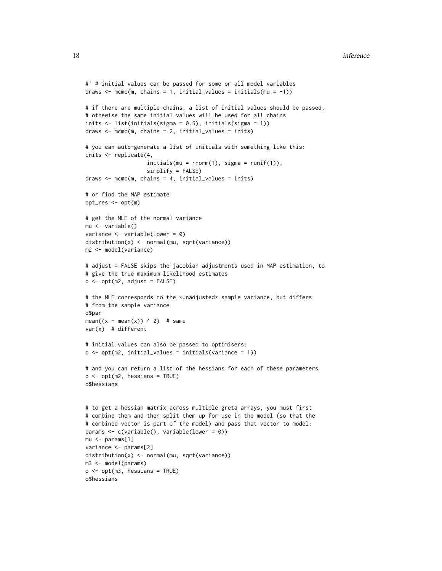```
#' # initial values can be passed for some or all model variables
draws \leq mcmc(m, chains = 1, initial_values = initials(mu = -1))
# if there are multiple chains, a list of initial values should be passed,
# othewise the same initial values will be used for all chains
inits <- list(initials(sigma = 0.5), initials(sigma = 1))
draws \leq mcmc(m, chains = 2, initial_values = inits)
# you can auto-generate a list of initials with something like this:
inits <- replicate(4,
                   initials(m = rnorm(1), sigma = runif(1)),simplify = FALSE)
draws <- mcmc(m, chains = 4, initial_values = inits)
# or find the MAP estimate
opt_res <- opt(m)
# get the MLE of the normal variance
mu <- variable()
variance \leq variable(lower = 0)
distribution(x) <- normal(mu, sqrt(variance))
m2 <- model(variance)
# adjust = FALSE skips the jacobian adjustments used in MAP estimation, to
# give the true maximum likelihood estimates
o \leq opt(m2, adjust = FALSE)# the MLE corresponds to the *unadjusted* sample variance, but differs
# from the sample variance
o$par
mean((x - mean(x)) ^ 2) # same
var(x) # different
# initial values can also be passed to optimisers:
o \leq opt(m2, initial_values = initial(s(\vartheta))# and you can return a list of the hessians for each of these parameters
o \leq opt(m2, hessians = TRUE)o$hessians
# to get a hessian matrix across multiple greta arrays, you must first
# combine them and then split them up for use in the model (so that the
# combined vector is part of the model) and pass that vector to model:
params <- c(variable(), variable(lower = 0))
mu <- params[1]
variance <- params[2]
distribution(x) <- normal(mu, sqrt(variance))
m3 <- model(params)
o \leq opt(m3, hessians = TRUE)o$hessians
```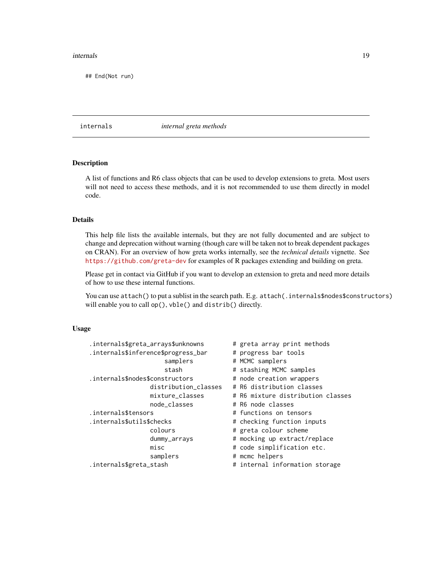#### <span id="page-18-0"></span>internals and the contract of the contract of the contract of the contract of the contract of the contract of the contract of the contract of the contract of the contract of the contract of the contract of the contract of

## End(Not run)

internals *internal greta methods*

#### Description

A list of functions and R6 class objects that can be used to develop extensions to greta. Most users will not need to access these methods, and it is not recommended to use them directly in model code.

#### Details

This help file lists the available internals, but they are not fully documented and are subject to change and deprecation without warning (though care will be taken not to break dependent packages on CRAN). For an overview of how greta works internally, see the *technical details* vignette. See <https://github.com/greta-dev> for examples of R packages extending and building on greta.

Please get in contact via GitHub if you want to develop an extension to greta and need more details of how to use these internal functions.

You can use attach() to put a sublist in the search path. E.g. attach(.internals\$nodes\$constructors) will enable you to call op(), vble() and distrib() directly.

#### Usage

| .internals\$greta_arrays\$unknowns  | # greta array print methods       |
|-------------------------------------|-----------------------------------|
| .internals\$inference\$progress_bar | # progress bar tools              |
| samplers                            | # MCMC samplers                   |
| stash                               | # stashing MCMC samples           |
| .internals\$nodes\$constructors     | # node creation wrappers          |
| distribution_classes                | # R6 distribution classes         |
| mixture_classes                     | # R6 mixture distribution classes |
| node_classes                        | # R6 node classes                 |
| .internals\$tensors                 | # functions on tensors            |
| .internals\$utils\$checks           | # checking function inputs        |
| colours                             | # greta colour scheme             |
| dummy_arrays                        | # mocking up extract/replace      |
| misc                                | # code simplification etc.        |
| samplers                            | # mcmc helpers                    |
| .internals\$greta_stash             | # internal information storage    |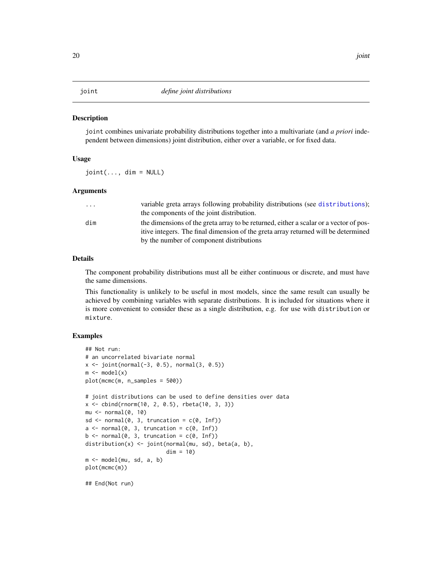#### <span id="page-19-0"></span>**Description**

joint combines univariate probability distributions together into a multivariate (and *a priori* independent between dimensions) joint distribution, either over a variable, or for fixed data.

#### Usage

 $joint(\ldots, dim = NULL)$ 

#### Arguments

| variable greta arrays following probability distributions (see distributions);        |
|---------------------------------------------------------------------------------------|
| the components of the joint distribution.                                             |
| the dimensions of the greta array to be returned, either a scalar or a vector of pos- |
| itive integers. The final dimension of the greta array returned will be determined    |
| by the number of component distributions                                              |
|                                                                                       |

#### Details

The component probability distributions must all be either continuous or discrete, and must have the same dimensions.

This functionality is unlikely to be useful in most models, since the same result can usually be achieved by combining variables with separate distributions. It is included for situations where it is more convenient to consider these as a single distribution, e.g. for use with distribution or mixture.

#### Examples

```
## Not run:
# an uncorrelated bivariate normal
x \le joint(normal(-3, 0.5), normal(3, 0.5))
m \leftarrow model(x)plot(mcmc(m, n_samples = 500))
# joint distributions can be used to define densities over data
x <- cbind(rnorm(10, 2, 0.5), rbeta(10, 3, 3))
mu <- normal(0, 10)
sd \leq normal(0, 3, truncation = c(0, \text{Inf}))
a \leftarrow \text{normal}(0, 3, \text{ truncation} = c(0, \text{Inf}))b \leftarrow \text{normal}(0, 3, \text{ truncation} = c(0, \text{Inf}))distribution(x) <- joint(normal(mu, sd), beta(a, b),
                             dim = 10m <- model(mu, sd, a, b)
plot(mcmc(m))
```
## End(Not run)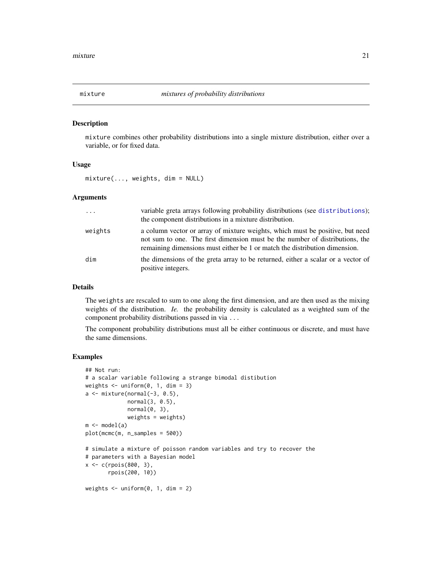<span id="page-20-1"></span><span id="page-20-0"></span>

#### Description

mixture combines other probability distributions into a single mixture distribution, either over a variable, or for fixed data.

#### Usage

 $mixture(..., weights, dim = NULL)$ 

#### Arguments

| $\cdot \cdot \cdot$ | variable greta arrays following probability distributions (see distributions);<br>the component distributions in a mixture distribution.                                                                                                    |
|---------------------|---------------------------------------------------------------------------------------------------------------------------------------------------------------------------------------------------------------------------------------------|
| weights             | a column vector or array of mixture weights, which must be positive, but need<br>not sum to one. The first dimension must be the number of distributions, the<br>remaining dimensions must either be 1 or match the distribution dimension. |
| dim                 | the dimensions of the greta array to be returned, either a scalar or a vector of<br>positive integers.                                                                                                                                      |

#### Details

The weights are rescaled to sum to one along the first dimension, and are then used as the mixing weights of the distribution. *Ie.* the probability density is calculated as a weighted sum of the component probability distributions passed in via ...

The component probability distributions must all be either continuous or discrete, and must have the same dimensions.

#### Examples

```
## Not run:
# a scalar variable following a strange bimodal distibution
weights \le uniform(0, 1, dim = 3)
a \leftarrow mixture(normal(-3, 0.5),
             normal(3, 0.5),
             normal(0, 3),
             weights = weights)
m \leftarrow model(a)plot(mcmc(m, n_samples = 500))
# simulate a mixture of poisson random variables and try to recover the
# parameters with a Bayesian model
x <- c(rpois(800, 3),
       rpois(200, 10))
weights \le uniform(0, 1, dim = 2)
```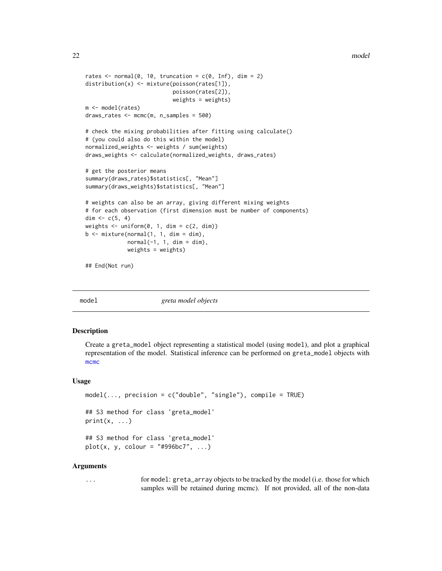```
rates \leq normal(0, 10, truncation = c(0, \text{Inf}), dim = 2)
distribution(x) <- mixture(poisson(rates[1]),
                            poisson(rates[2]),
                            weights = weights)
m <- model(rates)
draws_rates <- mcmc(m, n_samples = 500)
# check the mixing probabilities after fitting using calculate()
# (you could also do this within the model)
normalized_weights <- weights / sum(weights)
draws_weights <- calculate(normalized_weights, draws_rates)
# get the posterior means
summary(draws_rates)$statistics[, "Mean"]
summary(draws_weights)$statistics[, "Mean"]
# weights can also be an array, giving different mixing weights
# for each observation (first dimension must be number of components)
dim <- c(5, 4)weights \leq uniform(0, 1, dim = c(2, dim))
b \leq -\text{mixture}(\text{normal}(1, 1, \text{dim} = \text{dim}),normal(-1, 1, dim = dim),
             weights = weights)
```
## End(Not run)

<span id="page-21-1"></span>

model *greta model objects*

#### **Description**

Create a greta\_model object representing a statistical model (using model), and plot a graphical representation of the model. Statistical inference can be performed on greta\_model objects with [mcmc](#page-14-1)

#### Usage

```
model(..., precision = c("double", "single"), compile = TRUE)## S3 method for class 'greta_model'
print(x, \ldots)## S3 method for class 'greta_model'
plot(x, y, colour = "#996bc7", ...)
```
#### Arguments

... for model: greta\_array objects to be tracked by the model (i.e. those for which samples will be retained during mcmc). If not provided, all of the non-data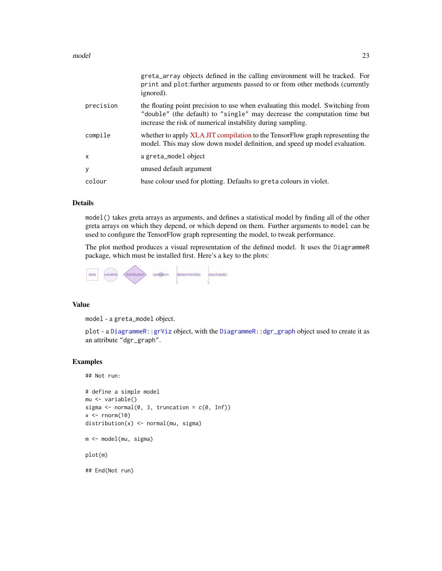#### <span id="page-22-0"></span>model 23

|           | greta_array objects defined in the calling environment will be tracked. For<br>print and plot: further arguments passed to or from other methods (currently<br>ignored).                                                  |
|-----------|---------------------------------------------------------------------------------------------------------------------------------------------------------------------------------------------------------------------------|
| precision | the floating point precision to use when evaluating this model. Switching from<br>"double" (the default) to "single" may decrease the computation time but<br>increase the risk of numerical instability during sampling. |
| compile   | whether to apply XLA JIT compilation to the TensorFlow graph representing the<br>model. This may slow down model definition, and speed up model evaluation.                                                               |
| X         | a greta_model object                                                                                                                                                                                                      |
| y         | unused default argument                                                                                                                                                                                                   |
| colour    | base colour used for plotting. Defaults to greta colours in violet.                                                                                                                                                       |

#### Details

model() takes greta arrays as arguments, and defines a statistical model by finding all of the other greta arrays on which they depend, or which depend on them. Further arguments to model can be used to configure the TensorFlow graph representing the model, to tweak performance.

The plot method produces a visual representation of the defined model. It uses the DiagrammeR package, which must be installed first. Here's a key to the plots:

#### Value

model - a greta\_model object.

plot - a [DiagrammeR::grViz](#page-0-0) object, with the [DiagrammeR::dgr\\_graph](#page-0-0) object used to create it as an attribute "dgr\_graph".

#### Examples

## Not run:

```
# define a simple model
mu <- variable()
sigma \leq normal(0, 3, truncation = c(0, \text{Inf}))
x \leftarrow \text{norm}(10)distribution(x) <- normal(mu, sigma)
m <- model(mu, sigma)
plot(m)
```
## End(Not run)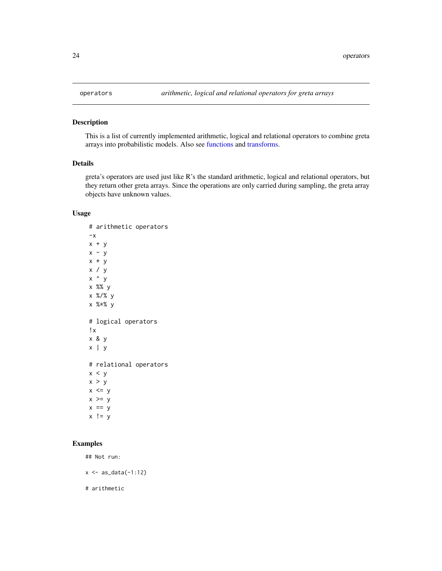<span id="page-23-1"></span><span id="page-23-0"></span>

#### Description

This is a list of currently implemented arithmetic, logical and relational operators to combine greta arrays into probabilistic models. Also see [functions](#page-11-1) and [transforms.](#page-30-1)

#### Details

greta's operators are used just like R's the standard arithmetic, logical and relational operators, but they return other greta arrays. Since the operations are only carried during sampling, the greta array objects have unknown values.

#### Usage

# arithmetic operators  $-x$  $x + y$  $x - y$ x \* y x / y  $x \wedge y$ x %% y x %/% y x %\*% y # logical operators !x x & y x | y # relational operators  $x < y$  $x > y$  $x \le y$  $x \ge y$  $x == y$  $x$  !=  $y$ 

#### Examples

## Not run:

 $x \leftarrow as_data(-1:12)$ 

# arithmetic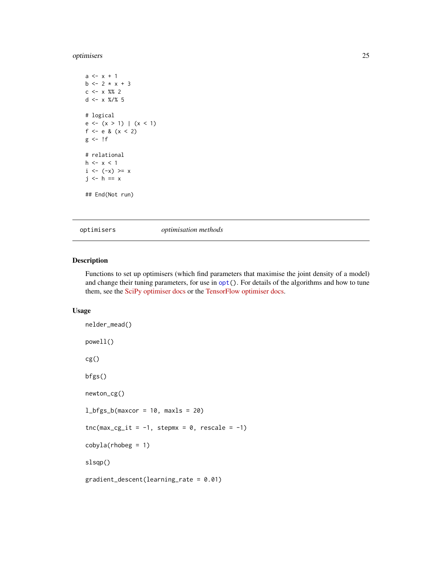#### <span id="page-24-0"></span>optimisers 25

```
a \leq x + 1b \le -2 \times x + 3c <- x %% 2
d \leq x \frac{8}{8} 5
# logical
e \leftarrow (x > 1) | (x < 1)f <- e & (x < 2)g \leftarrow!f
# relational
h \leq x \leq 1i \le -(-x) \ge xj \leftarrow h == x## End(Not run)
```
<span id="page-24-1"></span>optimisers *optimisation methods*

#### Description

Functions to set up optimisers (which find parameters that maximise the joint density of a model) and change their tuning parameters, for use in  $opt()$  $opt()$ . For details of the algorithms and how to tune them, see the [SciPy optimiser docs](https://docs.scipy.org/doc/scipy/reference/generated/scipy.optimize.minimize.html) or the [TensorFlow optimiser docs.](https://www.tensorflow.org/api_docs/python/tf/contrib/opt)

#### Usage

```
nelder_mead()
powell()
cg()
bfgs()
newton_cg()
l_bfgs_b(maxcor = 10, maxls = 20)\text{tnc}(\text{max\_cg\_it} = -1, \text{ stepmx} = 0, \text{ rescale} = -1)cobyla(rhobeg = 1)slsqp()
gradient_descent(learning_rate = 0.01)
```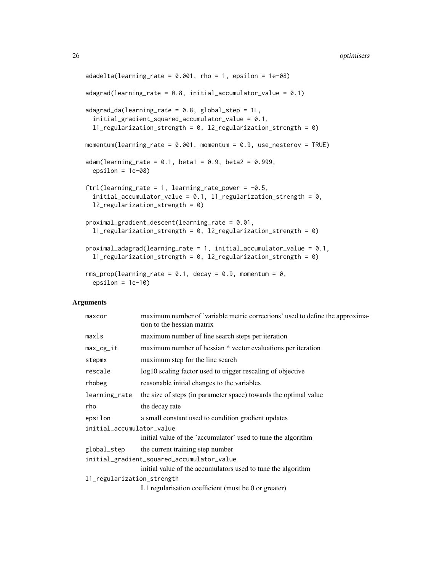```
adadelta(learning_rate = 0.001, rho = 1, epsilon = 1e-08)
adagrad(learning_rate = 0.8, initialaccumulator_value = 0.1)adagrad_d (learning_rate = 0.8, global_step = 1L,initial_gradient_squared_accumulator_value = 0.1,
  l1_regularization_strength = 0, l2_regularization_strength = 0)
momentum(learning_rate = 0.001, momentum = 0.9, use_nesterov = TRUE)
adam(learning_rate = 0.1, beta1 = 0.9, beta2 = 0.999,epsilon = 1e-08ftrl(learning_rate = 1, learning_rate_power = -0.5,
  initial_accumulator_value = 0.1, l1_regularization_strength = 0,
 l2_regularization_strength = 0)
proximal_gradient_descent(learning_rate = 0.01,
  11_regularization_strength = 0, 12_regularization_strength = 0)
proximal_adagrad(learning_rate = 1, initial_accumulator_value = 0.1,
  l1_regularization_strength = 0, l2_regularization_strength = 0)
rms_prop(learning_rate = 0.1, decay = 0.9, momentum = 0,
 epsilon = 1e-10
```
#### **Arguments**

| maxcor                     | maximum number of 'variable metric corrections' used to define the approxima-<br>tion to the hessian matrix |  |
|----------------------------|-------------------------------------------------------------------------------------------------------------|--|
| maxIs                      | maximum number of line search steps per iteration                                                           |  |
| $max_c$                    | maximum number of hessian * vector evaluations per iteration                                                |  |
| stepmx                     | maximum step for the line search                                                                            |  |
| rescale                    | log10 scaling factor used to trigger rescaling of objective                                                 |  |
| rhobeg                     | reasonable initial changes to the variables                                                                 |  |
| learning_rate              | the size of steps (in parameter space) towards the optimal value                                            |  |
| rho                        | the decay rate                                                                                              |  |
| epsilon                    | a small constant used to condition gradient updates                                                         |  |
| initial_accumulator_value  |                                                                                                             |  |
|                            | initial value of the 'accumulator' used to tune the algorithm                                               |  |
| global_step                | the current training step number                                                                            |  |
|                            | initial_gradient_squared_accumulator_value                                                                  |  |
|                            | initial value of the accumulators used to tune the algorithm                                                |  |
| 11_regularization_strength |                                                                                                             |  |
|                            | L1 regularisation coefficient (must be 0 or greater)                                                        |  |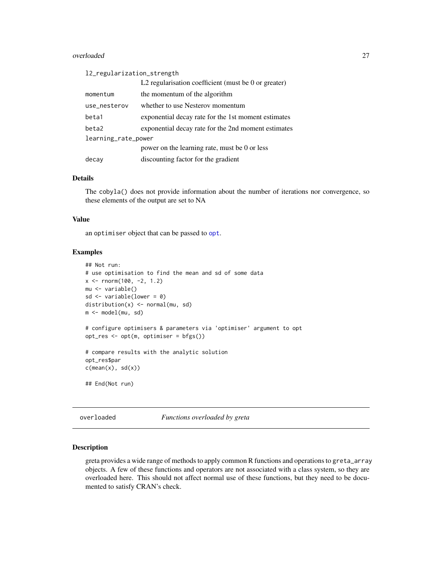#### <span id="page-26-0"></span>overloaded 27

| 12_regularization_strength |                                                      |  |  |
|----------------------------|------------------------------------------------------|--|--|
|                            | L2 regularisation coefficient (must be 0 or greater) |  |  |
| momentum                   | the momentum of the algorithm                        |  |  |
| use_nesterov               | whether to use Nesterov momentum                     |  |  |
| beta1                      | exponential decay rate for the 1st moment estimates  |  |  |
| beta2                      | exponential decay rate for the 2nd moment estimates  |  |  |
| learning_rate_power        |                                                      |  |  |
|                            | power on the learning rate, must be 0 or less        |  |  |
| decay                      | discounting factor for the gradient                  |  |  |

#### Details

The cobyla() does not provide information about the number of iterations nor convergence, so these elements of the output are set to NA

#### Value

an optimiser object that can be passed to [opt](#page-14-1).

#### Examples

```
## Not run:
# use optimisation to find the mean and sd of some data
x <- rnorm(100, -2, 1.2)
mu <- variable()
sd <- variable(lower = 0)
distribution(x) <- normal(mu, sd)
m <- model(mu, sd)
# configure optimisers & parameters via 'optimiser' argument to opt
opt_res <- opt(m, optimiser = bfgs())
# compare results with the analytic solution
opt_res$par
c(mean(x), sd(x))## End(Not run)
```
overloaded *Functions overloaded by greta*

#### Description

greta provides a wide range of methods to apply common R functions and operations to greta\_array objects. A few of these functions and operators are not associated with a class system, so they are overloaded here. This should not affect normal use of these functions, but they need to be documented to satisfy CRAN's check.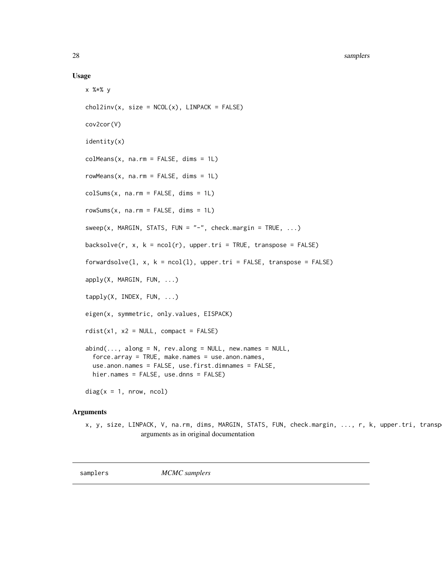#### 28 samplers and the contract of the contract of the contract of the contract of the contract of the contract of the contract of the contract of the contract of the contract of the contract of the contract of the contract o

#### Usage

```
x %*% y
chol2inv(x, size = NCOL(x), LINPACK = FALSE)cov2cor(V)
identity(x)
colMeans(x, na.rm = FALSE, dims = 1L)rowMeans(x, na.rm = FALSE, dims = 1L)colSums(x, na.rm = FALSE, dims = 1L)rowsums(x, na.rm = FALSE, dims = 1L)sweep(x, \text{MARGIN}, \text{STATS}, \text{Fun} = "-", check.margin = TRUE, ...)
backsolve(r, x, k = \text{ncol}(r), upper.tri = TRUE, transpose = FALSE)
forwardsolve(1, x, k = \text{ncol}(1), \text{ upper.tri} = \text{FALSE}, \text{ transpose} = \text{FALSE})
apply(X, MARGIN, FUN, ...)
tapply(X, INDEX, FUN, ...)
eigen(x, symmetric, only.values, EISPACK)
rdist(x1, x2 = NULL, compact = FALSE)abind(..., along = N, rev.along = NULL, new.name = NULL,force.array = TRUE, make.names = use.anon.names,
  use.anon.names = FALSE, use.first.dimnames = FALSE,
 hier.names = FALSE, use.dnns = FALSE)
diag(x = 1, nrow, ncol)
```
#### Arguments

```
x, y, size, LINPACK, V, na.rm, dims, MARGIN, STATS, FUN, check.margin, ..., r, k, upper.tri, transp
                arguments as in original documentation
```
<span id="page-27-1"></span>samplers *MCMC samplers*

<span id="page-27-0"></span>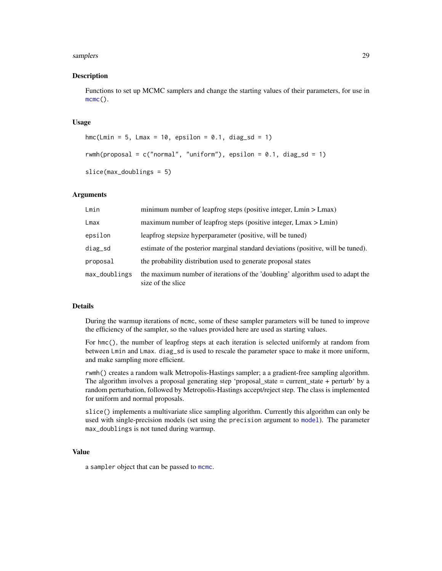#### <span id="page-28-0"></span>samplers 29

#### Description

Functions to set up MCMC samplers and change the starting values of their parameters, for use in [mcmc\(](#page-14-1)).

#### Usage

```
hmc(Lmin = 5, Lmax = 10, epsilon = 0.1, diag_sd = 1)
rwmh(proposal = c("normal", "uniform"), epsilon = 0.1, diag_s d = 1)slice(max_doublings = 5)
```
#### Arguments

| Lmin          | minimum number of leapfrog steps (positive integer, Lmin > Lmax)                                    |
|---------------|-----------------------------------------------------------------------------------------------------|
| Lmax          | maximum number of leapfrog steps (positive integer, $Lmax > Lmin$ )                                 |
| epsilon       | leapfrog stepsize hyperparameter (positive, will be tuned)                                          |
| diag_sd       | estimate of the posterior marginal standard deviations (positive, will be tuned).                   |
| proposal      | the probability distribution used to generate proposal states                                       |
| max_doublings | the maximum number of iterations of the 'doubling' algorithm used to adapt the<br>size of the slice |

#### Details

During the warmup iterations of mcmc, some of these sampler parameters will be tuned to improve the efficiency of the sampler, so the values provided here are used as starting values.

For hmc(), the number of leapfrog steps at each iteration is selected uniformly at random from between Lmin and Lmax. diag\_sd is used to rescale the parameter space to make it more uniform, and make sampling more efficient.

rwmh() creates a random walk Metropolis-Hastings sampler; a a gradient-free sampling algorithm. The algorithm involves a proposal generating step 'proposal\_state = current\_state + perturb' by a random perturbation, followed by Metropolis-Hastings accept/reject step. The class is implemented for uniform and normal proposals.

slice() implements a multivariate slice sampling algorithm. Currently this algorithm can only be used with single-precision models (set using the precision argument to [model](#page-21-1)). The parameter max\_doublings is not tuned during warmup.

#### Value

a sampler object that can be passed to [mcmc](#page-14-1).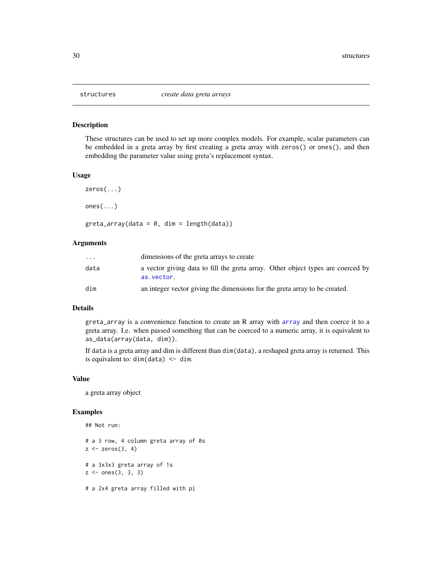<span id="page-29-0"></span>

#### Description

These structures can be used to set up more complex models. For example, scalar parameters can be embedded in a greta array by first creating a greta array with zeros() or ones(), and then embedding the parameter value using greta's replacement syntax.

#### Usage

```
zeros(...)
ones(...)
greta_array(data = 0, dim = length(data))
```
#### Arguments

| $\cdot$ $\cdot$ $\cdot$ | dimensions of the greta arrays to create                                                      |
|-------------------------|-----------------------------------------------------------------------------------------------|
| data                    | a vector giving data to fill the greta array. Other object types are coerced by<br>as.vector. |
| dim                     | an integer vector giving the dimensions for the greta array to be created.                    |

#### Details

greta\_array is a convenience function to create an R array with [array](#page-0-0) and then coerce it to a greta array. I.e. when passed something that can be coerced to a numeric array, it is equivalent to as\_data(array(data, dim)).

If data is a greta array and dim is different than dim(data), a reshaped greta array is returned. This is equivalent to:  $dim(data) < - dim$ .

#### Value

a greta array object

#### Examples

## Not run: # a 3 row, 4 column greta array of 0s  $z \leftarrow$  zeros $(3, 4)$ # a 3x3x3 greta array of 1s  $z \le -$  ones(3, 3, 3) # a 2x4 greta array filled with pi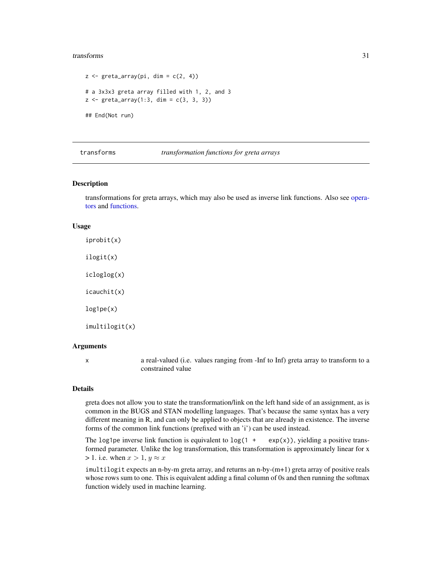#### <span id="page-30-0"></span>transforms 31

```
z \leq greta_array(pi, dim = c(2, 4))
# a 3x3x3 greta array filled with 1, 2, and 3
z \le greta_array(1:3, dim = c(3, 3, 3))
## End(Not run)
```
#### <span id="page-30-1"></span>transforms *transformation functions for greta arrays*

#### Description

transformations for greta arrays, which may also be used as inverse link functions. Also see [opera](#page-23-1)[tors](#page-23-1) and [functions.](#page-11-1)

#### Usage

iprobit(x) ilogit(x) icloglog(x) icauchit(x) log1pe(x) imultilogit(x)

#### Arguments

x a real-valued (i.e. values ranging from -Inf to Inf) greta array to transform to a constrained value

#### Details

greta does not allow you to state the transformation/link on the left hand side of an assignment, as is common in the BUGS and STAN modelling languages. That's because the same syntax has a very different meaning in R, and can only be applied to objects that are already in existence. The inverse forms of the common link functions (prefixed with an 'i') can be used instead.

The log1pe inverse link function is equivalent to  $log(1 + exp(x))$ , yielding a positive transformed parameter. Unlike the log transformation, this transformation is approximately linear for x > 1. i.e. when  $x > 1$ ,  $y \approx x$ 

imultilogit expects an n-by-m greta array, and returns an n-by-(m+1) greta array of positive reals whose rows sum to one. This is equivalent adding a final column of 0s and then running the softmax function widely used in machine learning.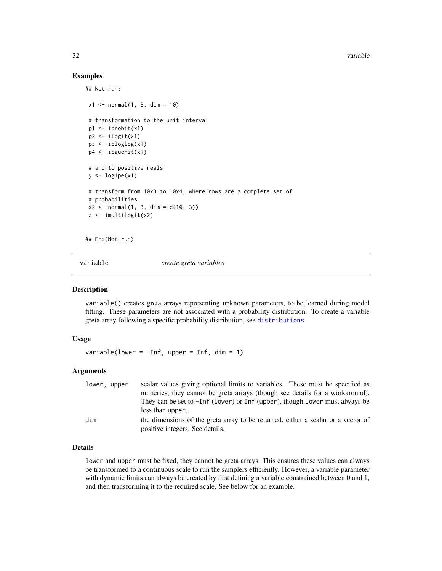#### Examples

## Not run:

```
x1 \leq normal(1, 3, dim = 10)
# transformation to the unit interval
p1 \leftarrow i\n{\text{probit}}(x1)p2 <- ilogit(x1)
p3 <- icloglog(x1)
p4 \leftarrow icauchit(x1)# and to positive reals
y \leftarrow \text{log1pe}(x1)# transform from 10x3 to 10x4, where rows are a complete set of
# probabilities
x2 \le normal(1, 3, dim = c(10, 3))
z <- imultilogit(x2)
```
## End(Not run)

<span id="page-31-1"></span>variable *create greta variables*

#### Description

variable() creates greta arrays representing unknown parameters, to be learned during model fitting. These parameters are not associated with a probability distribution. To create a variable greta array following a specific probability distribution, see [distributions](#page-5-1).

#### Usage

variable(lower =  $-Inf$ , upper = Inf, dim = 1)

#### Arguments

| lower, upper | scalar values giving optional limits to variables. These must be specified as                                       |
|--------------|---------------------------------------------------------------------------------------------------------------------|
|              | numerics, they cannot be greta arrays (though see details for a workaround).                                        |
|              | They can be set to -Inf (lower) or Inf (upper), though lower must always be                                         |
|              | less than upper.                                                                                                    |
| dim          | the dimensions of the greta array to be returned, either a scalar or a vector of<br>positive integers. See details. |

#### Details

lower and upper must be fixed, they cannot be greta arrays. This ensures these values can always be transformed to a continuous scale to run the samplers efficiently. However, a variable parameter with dynamic limits can always be created by first defining a variable constrained between 0 and 1, and then transforming it to the required scale. See below for an example.

<span id="page-31-0"></span>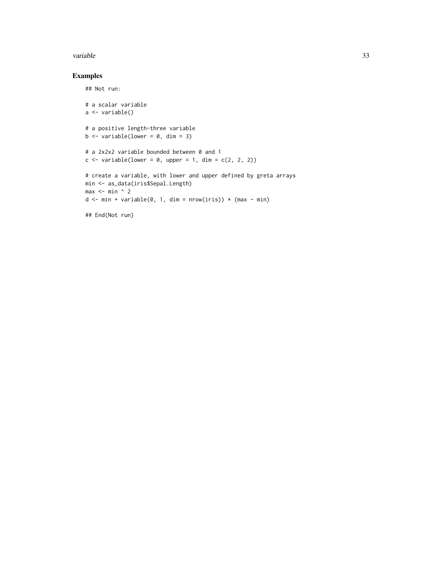#### variable 33

### Examples

## Not run:

```
# a scalar variable
a <- variable()
# a positive length-three variable
b \leftarrow variable(lower = 0, dim = 3)
# a 2x2x2 variable bounded between 0 and 1
c \le variable(lower = 0, upper = 1, dim = c(2, 2, 2))
# create a variable, with lower and upper defined by greta arrays
min <- as_data(iris$Sepal.Length)
max < - min ^ 2
d \le - min + variable(0, 1, dim = nrow(iris)) * (max - min)
## End(Not run)
```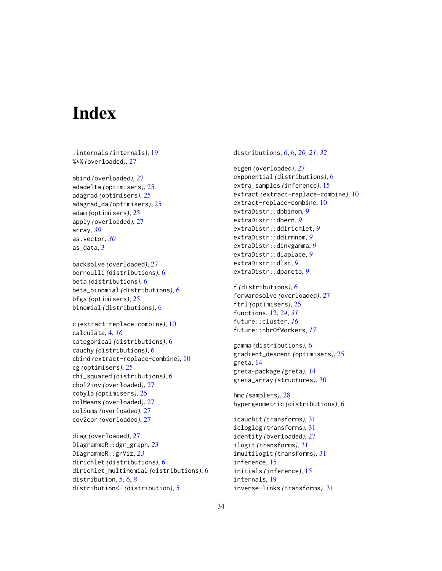# <span id="page-33-0"></span>**Index**

.internals *(*internals*)*, [19](#page-18-0) %\*% *(*overloaded*)*, [27](#page-26-0)

abind *(*overloaded*)*, [27](#page-26-0) adadelta *(*optimisers*)*, [25](#page-24-0) adagrad *(*optimisers*)*, [25](#page-24-0) adagrad\_da *(*optimisers*)*, [25](#page-24-0) adam *(*optimisers*)*, [25](#page-24-0) apply *(*overloaded*)*, [27](#page-26-0) array, *[30](#page-29-0)* as.vector, *[30](#page-29-0)* as data,  $3$ 

backsolve *(*overloaded*)*, [27](#page-26-0) bernoulli *(*distributions*)*, [6](#page-5-0) beta *(*distributions*)*, [6](#page-5-0) beta\_binomial *(*distributions*)*, [6](#page-5-0) bfgs *(*optimisers*)*, [25](#page-24-0) binomial *(*distributions*)*, [6](#page-5-0)

```
c (extract-replace-combine), 10
calculate, 4, 16
categorical (distributions), 6
cauchy (distributions), 6
cbind (extract-replace-combine), 10
cg (optimisers), 25
chi_squared (distributions), 6
chol2inv (overloaded), 27
cobyla (optimisers), 25
colMeans (overloaded), 27
colSums (overloaded), 27
cov2cor (overloaded), 27
```
diag *(*overloaded*)*, [27](#page-26-0) DiagrammeR::dgr\_graph, *[23](#page-22-0)* DiagrammeR::grViz, *[23](#page-22-0)* dirichlet *(*distributions*)*, [6](#page-5-0) dirichlet\_multinomial *(*distributions*)*, [6](#page-5-0) distribution, [5,](#page-4-0) *[6](#page-5-0)*, *[8](#page-7-0)* distribution<- *(*distribution*)*, [5](#page-4-0)

distributions, *[6](#page-5-0)*, [6,](#page-5-0) *[20,](#page-19-0) [21](#page-20-0)*, *[32](#page-31-0)*

```
eigen (overloaded), 27
exponential (distributions), 6
extra_samples (inference), 15
extract (extract-replace-combine), 10
extract-replace-combine, 10
extraDistr::dbbinom, 9
extraDistr::dbern, 9
extraDistr::ddirichlet, 9
extraDistr::ddirmnom, 9
extraDistr::dinvgamma, 9
extraDistr::dlaplace, 9
extraDistr::dlst, 9
extraDistr::dpareto, 9
f (distributions), 6
forwardsolve (overloaded), 27
ftrl (optimisers), 25
functions, 12, 24, 31
future::cluster, 16
future::nbrOfWorkers, 17
gamma (distributions), 6
gradient_descent (optimisers), 25
greta, 14
greta-package (greta), 14
greta_array (structures), 30
hmc (samplers), 28
hypergeometric (distributions), 6
icauchit (transforms), 31
icloglog (transforms), 31
identity (overloaded), 27
ilogit (transforms), 31
imultilogit (transforms), 31
inference, 15
initials (inference), 15
```
internals, [19](#page-18-0)

inverse-links *(*transforms*)*, [31](#page-30-0)